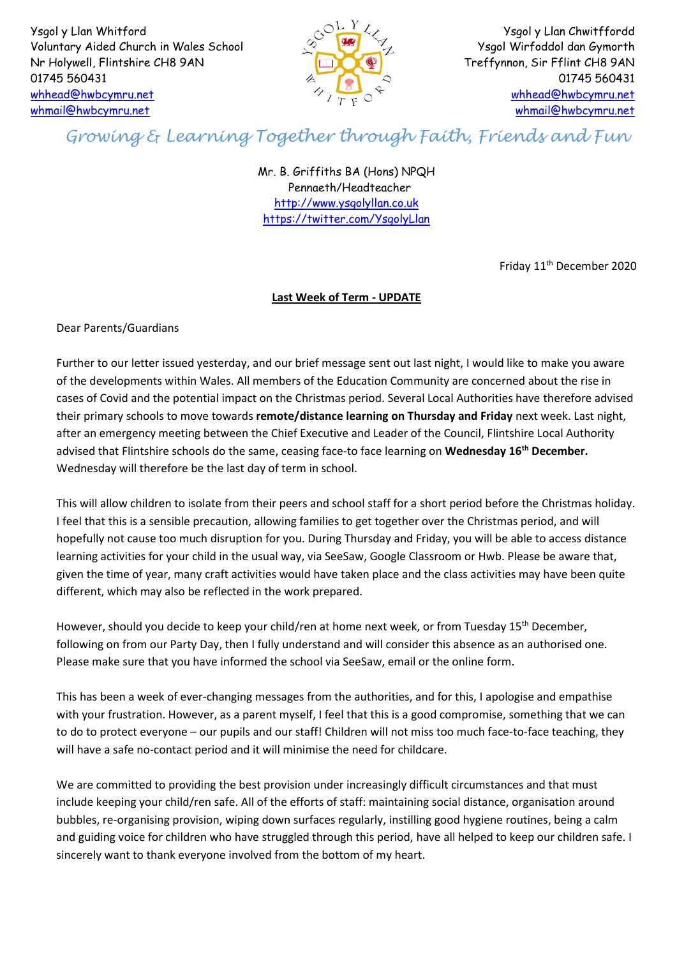Ysgol y Llan Whitford Voluntary Aided Church in Wales School Nr Holywell, Flintshire CH8 9AN 01745 560431 [whhead@hwbcymru.net](mailto:whhead@hwbcymru.net) [whmail@hwbcymru.net](mailto:whmail@hwbcymru.net)



Ysgol y Llan Chwitffordd Ysgol Wirfoddol dan Gymorth Treffynnon, Sir Fflint CH8 9AN 01745 560431 [whhead@hwbcymru.net](mailto:whhead@hwbcymru.net) [whmail@hwbcymru.net](mailto:whmail@hwbcymru.net)

## *Growing & Learning Together through Faith, Friends and Fun*

Mr. B. Griffiths BA (Hons) NPQH Pennaeth/Headteacher [http://www.ysgolyllan.co.uk](http://www.ysgolyllan.co.uk/) <https://twitter.com/YsgolyLlan>

Friday 11<sup>th</sup> December 2020

## **Last Week of Term - UPDATE**

Dear Parents/Guardians

Further to our letter issued yesterday, and our brief message sent out last night, I would like to make you aware of the developments within Wales. All members of the Education Community are concerned about the rise in cases of Covid and the potential impact on the Christmas period. Several Local Authorities have therefore advised their primary schools to move towards **remote/distance learning on Thursday and Friday** next week. Last night, after an emergency meeting between the Chief Executive and Leader of the Council, Flintshire Local Authority advised that Flintshire schools do the same, ceasing face-to face learning on **Wednesday 16th December.**  Wednesday will therefore be the last day of term in school.

This will allow children to isolate from their peers and school staff for a short period before the Christmas holiday. I feel that this is a sensible precaution, allowing families to get together over the Christmas period, and will hopefully not cause too much disruption for you. During Thursday and Friday, you will be able to access distance learning activities for your child in the usual way, via SeeSaw, Google Classroom or Hwb. Please be aware that, given the time of year, many craft activities would have taken place and the class activities may have been quite different, which may also be reflected in the work prepared.

However, should you decide to keep your child/ren at home next week, or from Tuesday 15<sup>th</sup> December, following on from our Party Day, then I fully understand and will consider this absence as an authorised one. Please make sure that you have informed the school via SeeSaw, email or the online form.

This has been a week of ever-changing messages from the authorities, and for this, I apologise and empathise with your frustration. However, as a parent myself, I feel that this is a good compromise, something that we can to do to protect everyone – our pupils and our staff! Children will not miss too much face-to-face teaching, they will have a safe no-contact period and it will minimise the need for childcare.

We are committed to providing the best provision under increasingly difficult circumstances and that must include keeping your child/ren safe. All of the efforts of staff: maintaining social distance, organisation around bubbles, re-organising provision, wiping down surfaces regularly, instilling good hygiene routines, being a calm and guiding voice for children who have struggled through this period, have all helped to keep our children safe. I sincerely want to thank everyone involved from the bottom of my heart.